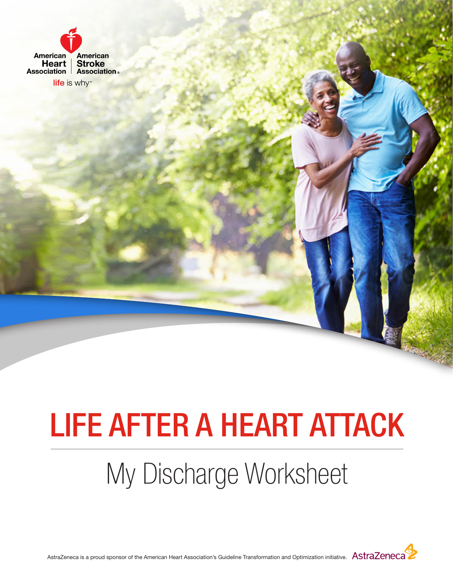

life is why

# LIFE AFTER A HEART ATTACK

## My Discharge Worksheet



AstraZeneca is a proud sponsor of the American Heart Association's Guideline Transformation and Optimization initiative. AStraZeneca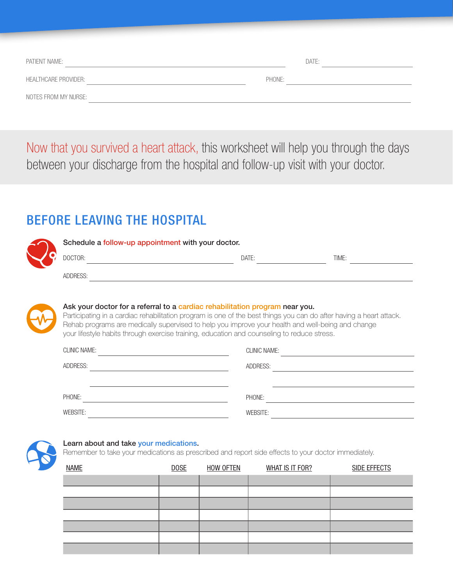| PATIENT NAME:               |        | DATE: |
|-----------------------------|--------|-------|
| <b>HEALTHCARE PROVIDER:</b> | PHONE: |       |
| NOTES FROM MY NURSE:        |        |       |

Now that you survived a heart attack, this worksheet will help you through the days between your discharge from the hospital and follow-up visit with your doctor.

### BEFORE LEAVING THE HOSPITAL

|  | Schedule a follow-up appointment with your doctor.                          |       |       |  |  |
|--|-----------------------------------------------------------------------------|-------|-------|--|--|
|  | DOCTOR:                                                                     | DATE: | TIME: |  |  |
|  | ADDRESS:                                                                    |       |       |  |  |
|  |                                                                             |       |       |  |  |
|  | Ask your doctor for a referral to a cardiac rehabilitation program near you |       |       |  |  |

**\sk your doctor for a referral to a cardiac rehabilitation program near you.** Participating in a cardiac rehabilitation program is one of the best things you can do after having a heart attack. Rehab programs are medically supervised to help you improve your health and well-being and change your lifestyle habits through exercise training, education and counseling to reduce stress.

| <b>CLINIC NAME:</b> | <b>CLINIC NAME:</b> |
|---------------------|---------------------|
| ADDRESS:            | ADDRESS:            |
|                     |                     |
| PHONE:              | PHONE:              |
| WEBSITE:            | WEBSITE:            |



#### Learn about and take your medications.

Remember to take your medications as prescribed and report side effects to your doctor immediately.

| <b>NAME</b> | <b>DOSE</b> | <b>HOW OFTEN</b> | <b>WHAT IS IT FOR?</b> | <b>SIDE EFFECTS</b> |
|-------------|-------------|------------------|------------------------|---------------------|
|             |             |                  |                        |                     |
|             |             |                  |                        |                     |
|             |             |                  |                        |                     |
|             |             |                  |                        |                     |
|             |             |                  |                        |                     |
|             |             |                  |                        |                     |
|             |             |                  |                        |                     |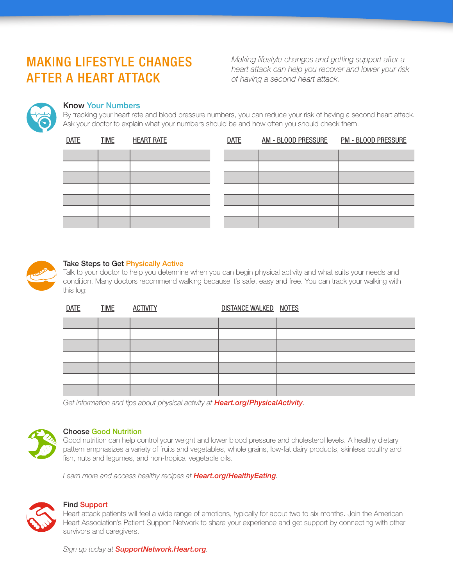### MAKING LIFESTYLE CHANGES AFTER A HEART ATTACK

*Making lifestyle changes and getting support after a heart attack can help you recover and lower your risk of having a second heart attack.*



#### Know Your Numbers

By tracking your heart rate and blood pressure numbers, you can reduce your risk of having a second heart attack. Ask your doctor to explain what your numbers should be and how often you should check them.

| <b>DATE</b> | <b>TIME</b> | <b>HEART RATE</b> |
|-------------|-------------|-------------------|
|             |             |                   |
|             |             |                   |
|             |             |                   |
|             |             |                   |
|             |             |                   |
|             |             |                   |
|             |             |                   |
|             |             |                   |

| <b>DATE</b> | <b>TIME</b> | <b>HEART RATE</b> | <b>DATE</b> | AM - BLOOD PRESSURE | <b>PM - BLOOD PRESSURE</b> |
|-------------|-------------|-------------------|-------------|---------------------|----------------------------|
|             |             |                   |             |                     |                            |
|             |             |                   |             |                     |                            |
|             |             |                   |             |                     |                            |
|             |             |                   |             |                     |                            |
|             |             |                   |             |                     |                            |
|             |             |                   |             |                     |                            |
|             |             |                   |             |                     |                            |



#### Take Steps to Get Physically Active

Talk to your doctor to help you determine when you can begin physical activity and what suits your needs and condition. Many doctors recommend walking because it's safe, easy and free. You can track your walking with this log:

| <b>DATE</b> | <b>TIME</b> | <b>ACTIVITY</b> | DISTANCE WALKED NOTES |  |
|-------------|-------------|-----------------|-----------------------|--|
|             |             |                 |                       |  |
|             |             |                 |                       |  |
|             |             |                 |                       |  |
|             |             |                 |                       |  |
|             |             |                 |                       |  |
|             |             |                 |                       |  |
|             |             |                 |                       |  |

*Get information and tips about physical activity at [Heart.org/PhysicalActivity](http://Heart.org/PhysicalActivity).*



#### Choose Good Nutrition

Good nutrition can help control your weight and lower blood pressure and cholesterol levels. A healthy dietary pattern emphasizes a variety of fruits and vegetables, whole grains, low-fat dairy products, skinless poultry and fish, nuts and legumes, and non-tropical vegetable oils.

*Learn more and access healthy recipes at Heart.org/HealthyEating.*



#### Find Support

Heart attack patients will feel a wide range of emotions, typically for about two to six months. Join the American Heart Association's Patient Support Network to share your experience and get support by connecting with other survivors and caregivers.

*Sign up today at SupportNetwork.Heart.org.*